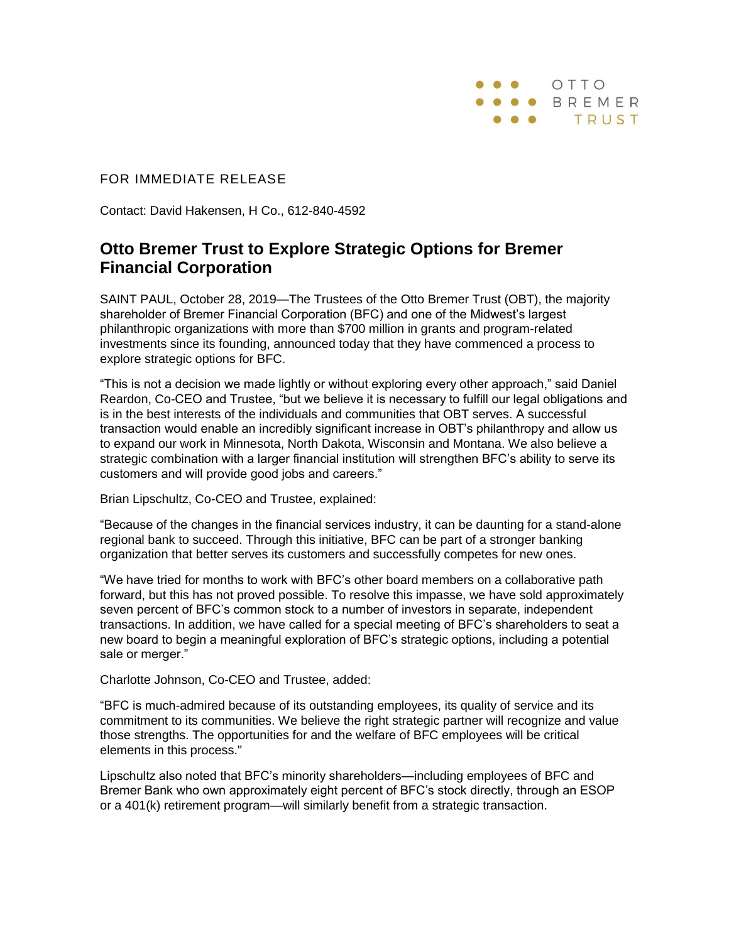

## FOR IMMEDIATE RELEASE

Contact: David Hakensen, H Co., 612-840-4592

## **Otto Bremer Trust to Explore Strategic Options for Bremer Financial Corporation**

SAINT PAUL, October 28, 2019—The Trustees of the Otto Bremer Trust (OBT), the majority shareholder of Bremer Financial Corporation (BFC) and one of the Midwest's largest philanthropic organizations with more than \$700 million in grants and program-related investments since its founding, announced today that they have commenced a process to explore strategic options for BFC.

"This is not a decision we made lightly or without exploring every other approach," said Daniel Reardon, Co-CEO and Trustee, "but we believe it is necessary to fulfill our legal obligations and is in the best interests of the individuals and communities that OBT serves. A successful transaction would enable an incredibly significant increase in OBT's philanthropy and allow us to expand our work in Minnesota, North Dakota, Wisconsin and Montana. We also believe a strategic combination with a larger financial institution will strengthen BFC's ability to serve its customers and will provide good jobs and careers."

Brian Lipschultz, Co-CEO and Trustee, explained:

"Because of the changes in the financial services industry, it can be daunting for a stand-alone regional bank to succeed. Through this initiative, BFC can be part of a stronger banking organization that better serves its customers and successfully competes for new ones.

"We have tried for months to work with BFC's other board members on a collaborative path forward, but this has not proved possible. To resolve this impasse, we have sold approximately seven percent of BFC's common stock to a number of investors in separate, independent transactions. In addition, we have called for a special meeting of BFC's shareholders to seat a new board to begin a meaningful exploration of BFC's strategic options, including a potential sale or merger."

Charlotte Johnson, Co-CEO and Trustee, added:

"BFC is much-admired because of its outstanding employees, its quality of service and its commitment to its communities. We believe the right strategic partner will recognize and value those strengths. The opportunities for and the welfare of BFC employees will be critical elements in this process."

Lipschultz also noted that BFC's minority shareholders—including employees of BFC and Bremer Bank who own approximately eight percent of BFC's stock directly, through an ESOP or a 401(k) retirement program—will similarly benefit from a strategic transaction.